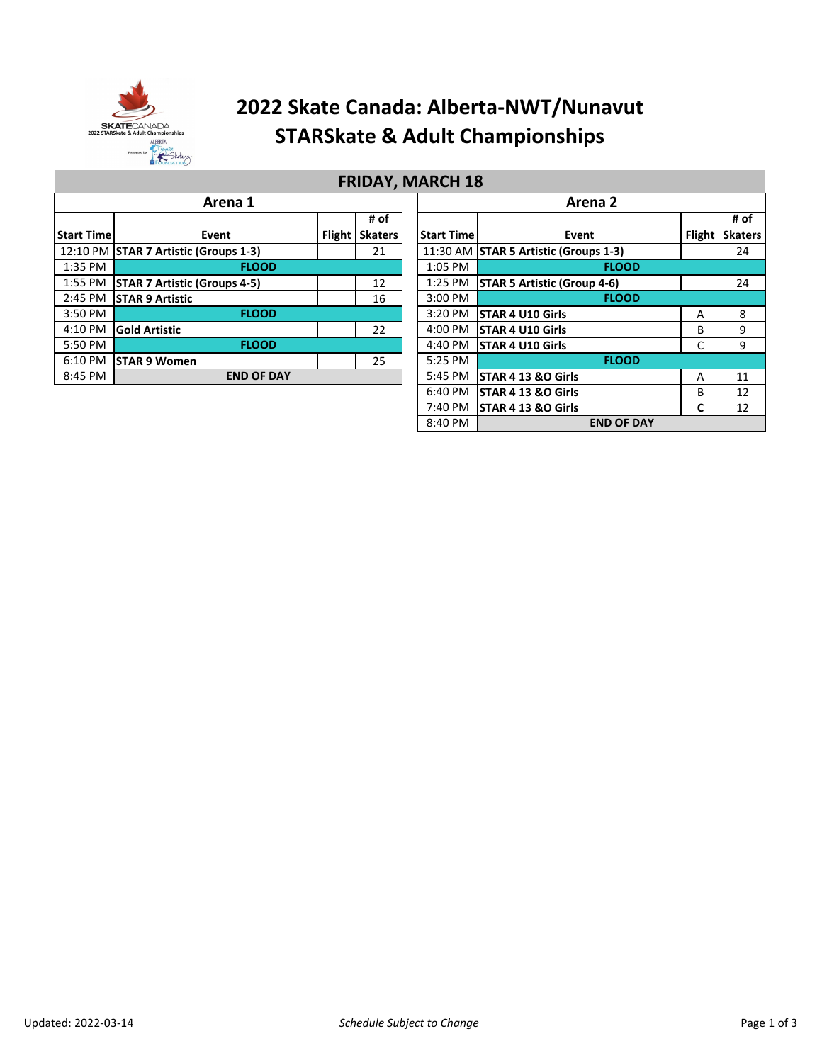

## **2022 Skate Canada: Alberta-NWT/Nunavut STARSkate & Adult Championships**

|                              | Arena 1                                     |               | Arena 2        |                                       |                                    |               |              |
|------------------------------|---------------------------------------------|---------------|----------------|---------------------------------------|------------------------------------|---------------|--------------|
|                              | # of                                        |               |                |                                       |                                    | # o           |              |
| <b>Start Timel</b>           | Event                                       | <b>Flight</b> | <b>Skaters</b> | <b>Start Time</b>                     | Event                              | <b>Flight</b> | <b>Skate</b> |
|                              | 12:10 PM STAR 7 Artistic (Groups 1-3)<br>21 |               |                | 11:30 AM STAR 5 Artistic (Groups 1-3) |                                    | 24            |              |
| 1:35 PM                      | <b>FLOOD</b>                                |               |                | 1:05 PM                               | <b>FLOOD</b>                       |               |              |
| 1:55 PM                      | <b>STAR 7 Artistic (Groups 4-5)</b>         |               | 12             | $1:25$ PM                             | <b>STAR 5 Artistic (Group 4-6)</b> |               | 24           |
| 2:45 PM                      | <b>STAR 9 Artistic</b>                      |               | 16             | $3:00$ PM                             | <b>FLOOD</b>                       |               |              |
| 3:50 PM                      | <b>FLOOD</b>                                |               |                | $3:20$ PM                             | <b>STAR 4 U10 Girls</b>            | Α             | 8            |
| 4:10 PM                      | <b>Gold Artistic</b>                        |               | 22             | $4:00$ PM                             | <b>STAR 4 U10 Girls</b>            | B             | 9            |
| 5:50 PM                      | <b>FLOOD</b>                                |               |                | 4:40 PM                               | <b>STAR 4 U10 Girls</b>            | С             | 9            |
| $6:10$ PM                    | <b>STAR 9 Women</b>                         |               | 25             | 5:25 PM                               | <b>FLOOD</b>                       |               |              |
| 8:45 PM<br><b>END OF DAY</b> |                                             |               |                | $5:45$ PM                             | STAR 4 13 &O Girls                 | A             | 11           |
|                              |                                             |               |                |                                       | $6.40$ DM $\overline{CTADA1200}$   | D             | 12           |

### **FRIDAY, MARCH 18**

| Arena 1           |               |                |  | Arena <sub>2</sub> |                                       |               |                |  |  |  |  |
|-------------------|---------------|----------------|--|--------------------|---------------------------------------|---------------|----------------|--|--|--|--|
|                   |               | # of           |  |                    |                                       |               | # of           |  |  |  |  |
| Event             | <b>Flight</b> | <b>Skaters</b> |  | <b>Start Time</b>  | Event                                 | <b>Flight</b> | <b>Skaters</b> |  |  |  |  |
| $froups 1-3)$     |               | 21             |  |                    | 11:30 AM STAR 5 Artistic (Groups 1-3) |               | 24             |  |  |  |  |
| <b>FLOOD</b>      |               |                |  | 1:05 PM            | <b>FLOOD</b>                          |               |                |  |  |  |  |
| Groups 4-5)       |               | 12             |  | $1:25$ PM          | <b>STAR 5 Artistic (Group 4-6)</b>    |               | 24             |  |  |  |  |
|                   |               | 16             |  | 3:00 PM            | <b>FLOOD</b>                          |               |                |  |  |  |  |
| <b>FLOOD</b>      |               |                |  | 3:20 PM            | <b>STAR 4 U10 Girls</b>               | Α             | 8              |  |  |  |  |
|                   |               | 22             |  | 4:00 PM            | <b>STAR 4 U10 Girls</b>               | B             | 9              |  |  |  |  |
| <b>FLOOD</b>      |               |                |  | 4:40 PM            | <b>STAR 4 U10 Girls</b>               | C             | 9              |  |  |  |  |
|                   |               | 25             |  | 5:25 PM            | <b>FLOOD</b>                          |               |                |  |  |  |  |
| <b>END OF DAY</b> |               |                |  | 5:45 PM            | <b>STAR 4 13 &amp;O Girls</b>         | A             | 11             |  |  |  |  |
|                   |               |                |  | 6:40 PM            | <b>STAR 4 13 &amp;O Girls</b>         | B             | 12             |  |  |  |  |
|                   |               |                |  | 7:40 PM            | <b>STAR 4 13 &amp;O Girls</b>         | C             | 12             |  |  |  |  |
|                   |               |                |  | 8:40 PM            | <b>END OF DAY</b>                     |               |                |  |  |  |  |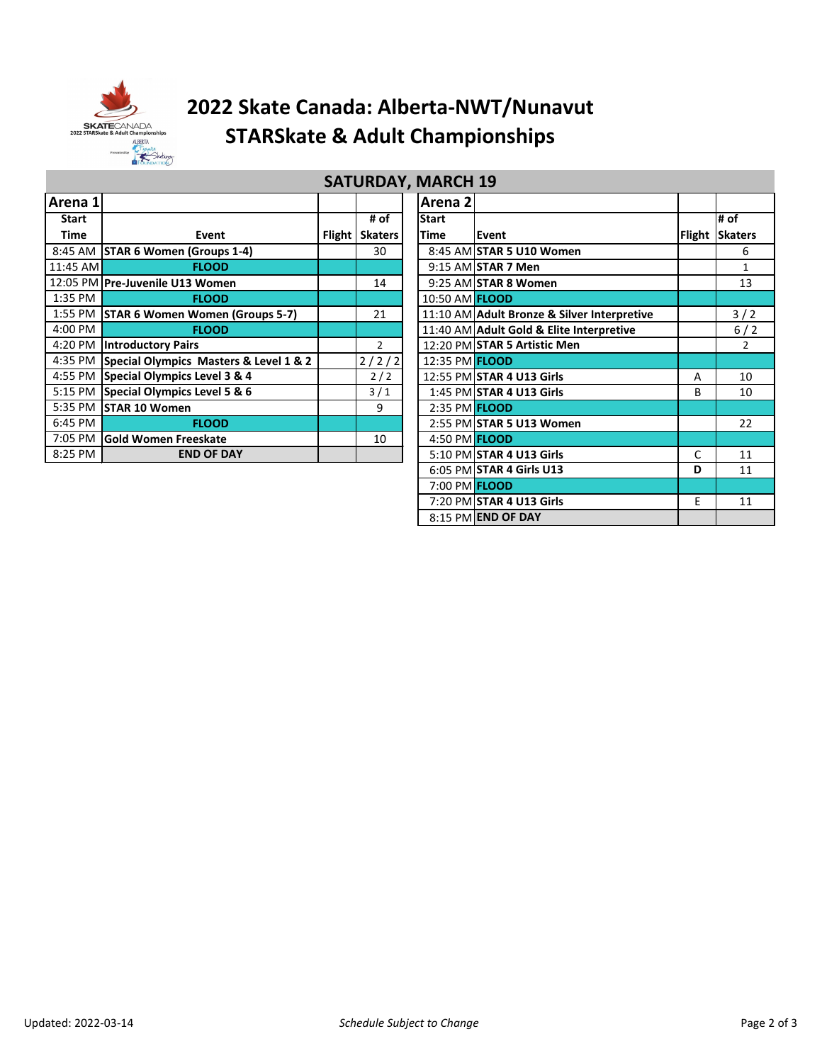

# **2022 Skate Canada: Alberta-NWT/Nunavut STARSkate & Adult Championships**

| J            |                                                |  |                  |  |                       |                                             |               |                 |  |
|--------------|------------------------------------------------|--|------------------|--|-----------------------|---------------------------------------------|---------------|-----------------|--|
| Arena 1      |                                                |  |                  |  | Arena 2               |                                             |               |                 |  |
| <b>Start</b> |                                                |  | # of             |  | <b>Start</b>          |                                             |               | # of            |  |
| Time         | Event                                          |  | Flight   Skaters |  | <b>Time</b>           | Event                                       | <b>Flight</b> | <b>Skaters</b>  |  |
|              | 8:45 AM STAR 6 Women (Groups 1-4)              |  | 30               |  |                       | 8:45 AM STAR 5 U10 Women                    |               | 6               |  |
| $11:45$ AM   | <b>FLOOD</b>                                   |  |                  |  |                       | $9:15$ AM STAR 7 Men                        |               | $\mathbf{1}$    |  |
|              | 12:05 PM Pre-Juvenile U13 Women                |  | 14               |  |                       | 9:25 AM STAR 8 Women                        |               | 13              |  |
| 1:35 PM      | <b>FLOOD</b>                                   |  |                  |  | 10:50 AM <b>FLOOD</b> |                                             |               |                 |  |
|              | 1:55 PM STAR 6 Women Women (Groups 5-7)        |  | 21               |  |                       | 11:10 AM Adult Bronze & Silver Interpretive |               | $3/2$           |  |
| 4:00 PM      | <b>FLOOD</b>                                   |  |                  |  |                       | 11:40 AM Adult Gold & Elite Interpretive    |               | 6/2             |  |
|              | 4:20 PM Introductory Pairs                     |  | $\overline{2}$   |  |                       | 12:20 PM STAR 5 Artistic Men                |               | $\overline{2}$  |  |
|              | 4:35 PM Special Olympics Masters & Level 1 & 2 |  | 2/2/2            |  | 12:35 PM <b>FLOOD</b> |                                             |               |                 |  |
|              | 4:55 PM Special Olympics Level 3 & 4           |  | 2/2              |  |                       | 12:55 PM STAR 4 U13 Girls                   | Α             | 10 <sup>°</sup> |  |
|              | 5:15 PM Special Olympics Level 5 & 6           |  | 3/1              |  |                       | 1:45 PM STAR 4 U13 Girls                    | B             | 10              |  |
|              | 5:35 PM STAR 10 Women                          |  | 9                |  | 2:35 PM <b>FLOOD</b>  |                                             |               |                 |  |
| 6:45 PM      | <b>FLOOD</b>                                   |  |                  |  |                       | 2:55 PM STAR 5 U13 Women                    |               | 22              |  |
|              | 7:05 PM Gold Women Freeskate                   |  | 10               |  | 4:50 PM FLOOD         |                                             |               |                 |  |
| 8:25 PM      | <b>END OF DAY</b>                              |  |                  |  |                       | 5:10 PM STAR 4 U13 Girls                    | C             | 11              |  |

| <b>SATURDAY, MARCH 19</b> |                |  |                       |                                             |        |                |  |  |  |
|---------------------------|----------------|--|-----------------------|---------------------------------------------|--------|----------------|--|--|--|
|                           |                |  | Arena <sub>2</sub>    |                                             |        |                |  |  |  |
|                           | # of           |  | <b>Start</b>          |                                             |        | # of           |  |  |  |
| Flight                    | <b>Skaters</b> |  | <b>Time</b>           | Event                                       | Flight | <b>Skaters</b> |  |  |  |
|                           | 30             |  |                       | 8:45 AM STAR 5 U10 Women                    |        | 6              |  |  |  |
|                           |                |  |                       | 9:15 AM STAR 7 Men                          |        | $\mathbf{1}$   |  |  |  |
|                           | 14             |  |                       | 9:25 AM STAR 8 Women                        |        | 13             |  |  |  |
|                           |                |  | 10:50 AM <b>FLOOD</b> |                                             |        |                |  |  |  |
|                           | 21             |  |                       | 11:10 AM Adult Bronze & Silver Interpretive |        | 3/2            |  |  |  |
|                           |                |  |                       | 11:40 AM Adult Gold & Elite Interpretive    |        | $6/2$          |  |  |  |
|                           | $\overline{2}$ |  |                       | 12:20 PM STAR 5 Artistic Men                |        | $\mathcal{P}$  |  |  |  |
|                           | 2/2/2          |  | 12:35 PM <b>FLOOD</b> |                                             |        |                |  |  |  |
|                           | 2/2            |  |                       | 12:55 PM STAR 4 U13 Girls                   | A      | 10             |  |  |  |
|                           | 3/1            |  |                       | 1:45 PM STAR 4 U13 Girls                    | B      | 10             |  |  |  |
|                           | 9              |  | 2:35 PM <b>FLOOD</b>  |                                             |        |                |  |  |  |
|                           |                |  |                       | 2:55 PM STAR 5 U13 Women                    |        | 22             |  |  |  |
|                           | 10             |  | 4:50 PM FLOOD         |                                             |        |                |  |  |  |
|                           |                |  |                       | 5:10 PM STAR 4 U13 Girls                    | C      | 11             |  |  |  |
|                           |                |  |                       | 6:05 PM STAR 4 Girls U13                    | D      | 11             |  |  |  |
|                           |                |  | 7:00 PM FLOOD         |                                             |        |                |  |  |  |
|                           |                |  |                       | 7:20 PM STAR 4 U13 Girls                    | E      | 11             |  |  |  |
|                           |                |  |                       | 8:15 PM END OF DAY                          |        |                |  |  |  |